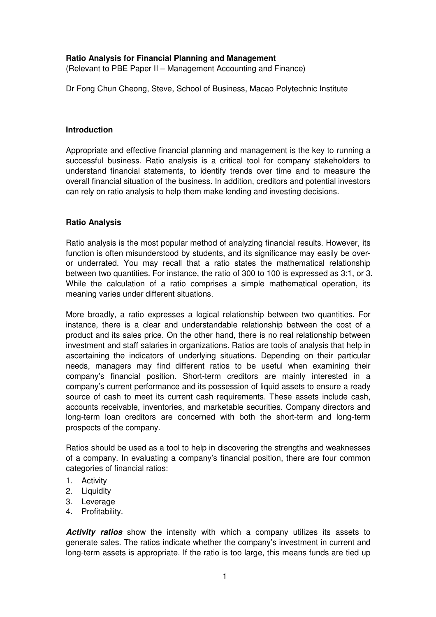## **Ratio Analysis for Financial Planning and Management**

(Relevant to PBE Paper II – Management Accounting and Finance)

Dr Fong Chun Cheong, Steve, School of Business, Macao Polytechnic Institute

### **Introduction**

Appropriate and effective financial planning and management is the key to running a successful business. Ratio analysis is a critical tool for company stakeholders to understand financial statements, to identify trends over time and to measure the overall financial situation of the business. In addition, creditors and potential investors can rely on ratio analysis to help them make lending and investing decisions.

### **Ratio Analysis**

Ratio analysis is the most popular method of analyzing financial results. However, its function is often misunderstood by students, and its significance may easily be overor underrated. You may recall that a ratio states the mathematical relationship between two quantities. For instance, the ratio of 300 to 100 is expressed as 3:1, or 3. While the calculation of a ratio comprises a simple mathematical operation, its meaning varies under different situations.

More broadly, a ratio expresses a logical relationship between two quantities. For instance, there is a clear and understandable relationship between the cost of a product and its sales price. On the other hand, there is no real relationship between investment and staff salaries in organizations. Ratios are tools of analysis that help in ascertaining the indicators of underlying situations. Depending on their particular needs, managers may find different ratios to be useful when examining their company's financial position. Short-term creditors are mainly interested in a company's current performance and its possession of liquid assets to ensure a ready source of cash to meet its current cash requirements. These assets include cash, accounts receivable, inventories, and marketable securities. Company directors and long-term loan creditors are concerned with both the short-term and long-term prospects of the company.

Ratios should be used as a tool to help in discovering the strengths and weaknesses of a company. In evaluating a company's financial position, there are four common categories of financial ratios:

- 1. Activity
- 2. Liquidity
- 3. Leverage
- 4. Profitability.

**Activity ratios** show the intensity with which a company utilizes its assets to generate sales. The ratios indicate whether the company's investment in current and long-term assets is appropriate. If the ratio is too large, this means funds are tied up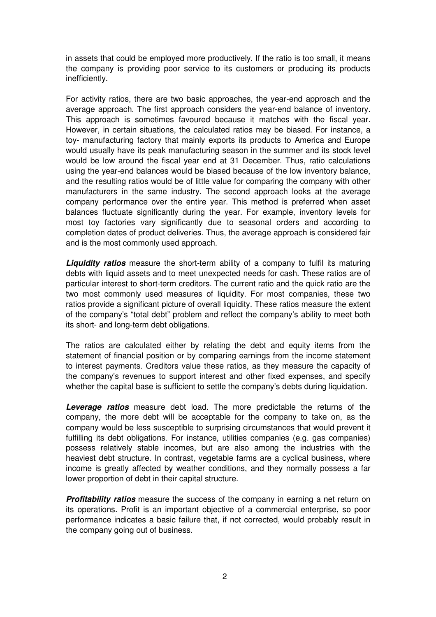in assets that could be employed more productively. If the ratio is too small, it means the company is providing poor service to its customers or producing its products inefficiently.

For activity ratios, there are two basic approaches, the year-end approach and the average approach. The first approach considers the year-end balance of inventory. This approach is sometimes favoured because it matches with the fiscal year. However, in certain situations, the calculated ratios may be biased. For instance, a toy- manufacturing factory that mainly exports its products to America and Europe would usually have its peak manufacturing season in the summer and its stock level would be low around the fiscal year end at 31 December. Thus, ratio calculations using the year-end balances would be biased because of the low inventory balance, and the resulting ratios would be of little value for comparing the company with other manufacturers in the same industry. The second approach looks at the average company performance over the entire year. This method is preferred when asset balances fluctuate significantly during the year. For example, inventory levels for most toy factories vary significantly due to seasonal orders and according to completion dates of product deliveries. Thus, the average approach is considered fair and is the most commonly used approach.

**Liquidity ratios** measure the short-term ability of a company to fulfil its maturing debts with liquid assets and to meet unexpected needs for cash. These ratios are of particular interest to short-term creditors. The current ratio and the quick ratio are the two most commonly used measures of liquidity. For most companies, these two ratios provide a significant picture of overall liquidity. These ratios measure the extent of the company's "total debt" problem and reflect the company's ability to meet both its short- and long-term debt obligations.

The ratios are calculated either by relating the debt and equity items from the statement of financial position or by comparing earnings from the income statement to interest payments. Creditors value these ratios, as they measure the capacity of the company's revenues to support interest and other fixed expenses, and specify whether the capital base is sufficient to settle the company's debts during liquidation.

**Leverage ratios** measure debt load. The more predictable the returns of the company, the more debt will be acceptable for the company to take on, as the company would be less susceptible to surprising circumstances that would prevent it fulfilling its debt obligations. For instance, utilities companies (e.g. gas companies) possess relatively stable incomes, but are also among the industries with the heaviest debt structure. In contrast, vegetable farms are a cyclical business, where income is greatly affected by weather conditions, and they normally possess a far lower proportion of debt in their capital structure.

**Profitability ratios** measure the success of the company in earning a net return on its operations. Profit is an important objective of a commercial enterprise, so poor performance indicates a basic failure that, if not corrected, would probably result in the company going out of business.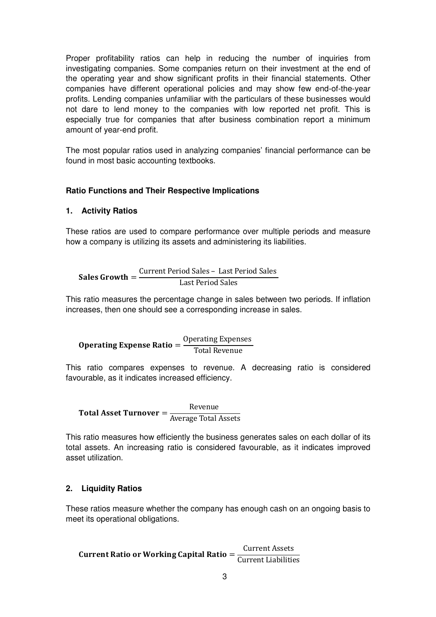Proper profitability ratios can help in reducing the number of inquiries from investigating companies. Some companies return on their investment at the end of the operating year and show significant profits in their financial statements. Other companies have different operational policies and may show few end-of-the-year profits. Lending companies unfamiliar with the particulars of these businesses would not dare to lend money to the companies with low reported net profit. This is especially true for companies that after business combination report a minimum amount of year-end profit.

The most popular ratios used in analyzing companies' financial performance can be found in most basic accounting textbooks.

## **Ratio Functions and Their Respective Implications**

### **1. Activity Ratios**

These ratios are used to compare performance over multiple periods and measure how a company is utilizing its assets and administering its liabilities.

Sales Growth = Current Period Sales - Last Period Sales Last Period Sales

This ratio measures the percentage change in sales between two periods. If inflation increases, then one should see a corresponding increase in sales.

Operating Expense Ratio = Operating Expenses Total Revenue

This ratio compares expenses to revenue. A decreasing ratio is considered favourable, as it indicates increased efficiency.

Total Asset Turnover  $=$ Revenue Average Total Assets

This ratio measures how efficiently the business generates sales on each dollar of its total assets. An increasing ratio is considered favourable, as it indicates improved asset utilization.

### **2. Liquidity Ratios**

These ratios measure whether the company has enough cash on an ongoing basis to meet its operational obligations.

Current Ratio or Working Capital Ratio = Current Assets **Current Liabilities**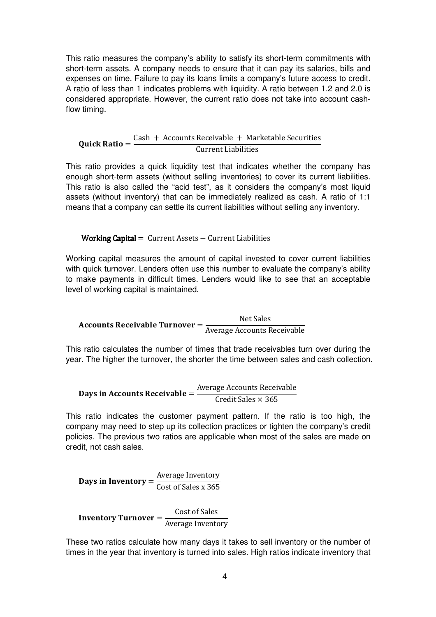This ratio measures the company's ability to satisfy its short-term commitments with short-term assets. A company needs to ensure that it can pay its salaries, bills and expenses on time. Failure to pay its loans limits a company's future access to credit. A ratio of less than 1 indicates problems with liquidity. A ratio between 1.2 and 2.0 is considered appropriate. However, the current ratio does not take into account cashflow timing.

#### Quick Ratio =  $Cash + Accounts$   $Receivable + Marketable$   $Securities$ **Current Liabilities**

This ratio provides a quick liquidity test that indicates whether the company has enough short-term assets (without selling inventories) to cover its current liabilities. This ratio is also called the "acid test", as it considers the company's most liquid assets (without inventory) that can be immediately realized as cash. A ratio of 1:1 means that a company can settle its current liabilities without selling any inventory.

# **Working Capital** =  $Current Assets - Current Liabilities$

Working capital measures the amount of capital invested to cover current liabilities with quick turnover. Lenders often use this number to evaluate the company's ability to make payments in difficult times. Lenders would like to see that an acceptable level of working capital is maintained.

Accounts Receivable Turnover = Net Sales Average Accounts Receivable

This ratio calculates the number of times that trade receivables turn over during the year. The higher the turnover, the shorter the time between sales and cash collection.

**Days in Accounts Receivable** = 
$$
\frac{\text{Average Accounts Receivable}}{\text{Credit Sales} \times 365}
$$

This ratio indicates the customer payment pattern. If the ratio is too high, the company may need to step up its collection practices or tighten the company's credit policies. The previous two ratios are applicable when most of the sales are made on credit, not cash sales.

Days in Inventory  $=$ Average Inventory Cost of Sales x 365

Inventory Turnover = Cost of Sales Average Inventory

These two ratios calculate how many days it takes to sell inventory or the number of times in the year that inventory is turned into sales. High ratios indicate inventory that